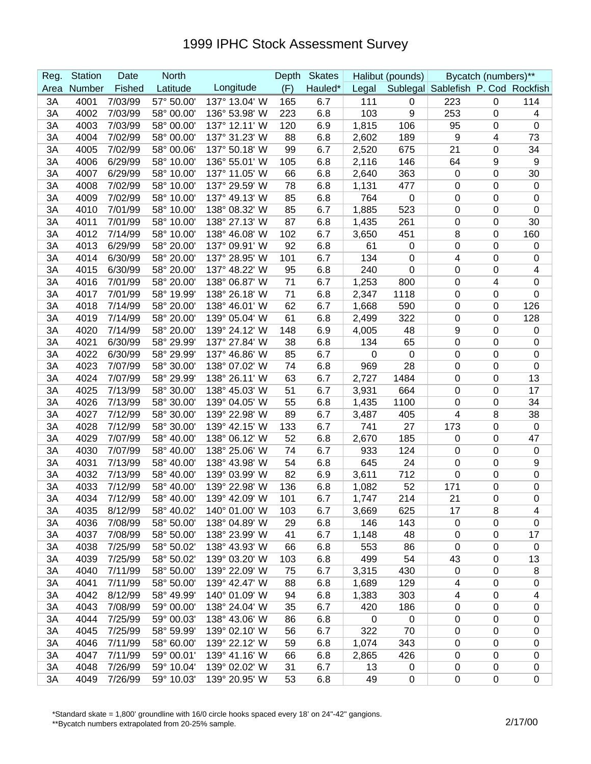| Reg. | <b>Station</b> | Date    | <b>North</b> |               | <b>Depth</b> | <b>Skates</b> |                | Halibut (pounds) |                                    | Bycatch (numbers)** |                  |
|------|----------------|---------|--------------|---------------|--------------|---------------|----------------|------------------|------------------------------------|---------------------|------------------|
| Area | Number         | Fished  | Latitude     | Longitude     | (F)          | Hauled*       | Legal          |                  | Sublegal Sablefish P. Cod Rockfish |                     |                  |
| 3A   | 4001           | 7/03/99 | 57° 50.00'   | 137° 13.04' W | 165          | 6.7           | 111            | 0                | 223                                | 0                   | 114              |
| 3A   | 4002           | 7/03/99 | 58° 00.00'   | 136° 53.98' W | 223          | 6.8           | 103            | 9                | 253                                | 0                   | 4                |
| 3A   | 4003           | 7/03/99 | 58° 00.00'   | 137° 12.11' W | 120          | 6.9           | 1,815          | 106              | 95                                 | 0                   | $\mathbf 0$      |
| 3A   | 4004           | 7/02/99 | 58° 00.00'   | 137° 31.23' W | 88           | 6.8           | 2,602          | 189              | 9                                  | 4                   | 73               |
| 3A   | 4005           | 7/02/99 | 58° 00.06'   | 137° 50.18' W | 99           | 6.7           | 2,520          | 675              | 21                                 | 0                   | 34               |
| 3A   | 4006           | 6/29/99 | 58° 10.00'   | 136° 55.01' W | 105          | 6.8           | 2,116          | 146              | 64                                 | 9                   | 9                |
| 3A   | 4007           | 6/29/99 | 58° 10.00'   | 137° 11.05' W | 66           | 6.8           | 2,640          | 363              | 0                                  | 0                   | 30               |
| 3A   | 4008           | 7/02/99 | 58° 10.00'   | 137° 29.59' W | 78           | 6.8           | 1,131          | 477              | 0                                  | 0                   | $\mathbf 0$      |
| 3A   | 4009           | 7/02/99 | 58° 10.00'   | 137° 49.13' W | 85           | 6.8           | 764            | 0                | 0                                  | 0                   | 0                |
| 3A   | 4010           | 7/01/99 | 58° 10.00'   | 138° 08.32' W | 85           | 6.7           | 1,885          | 523              | $\mathbf 0$                        | 0                   | $\boldsymbol{0}$ |
| 3A   | 4011           | 7/01/99 | 58° 10.00'   | 138° 27.13' W | 87           | 6.8           | 1,435          | 261              | 0                                  | 0                   | 30               |
| 3A   | 4012           | 7/14/99 | 58° 10.00'   | 138° 46.08' W | 102          | 6.7           | 3,650          | 451              | 8                                  | 0                   | 160              |
| 3A   | 4013           | 6/29/99 | 58° 20.00'   | 137° 09.91' W | 92           | 6.8           | 61             | 0                | 0                                  | 0                   | 0                |
| 3A   | 4014           | 6/30/99 | 58° 20.00'   | 137° 28.95' W | 101          | 6.7           | 134            | 0                | 4                                  | 0                   | $\mathbf 0$      |
| 3A   | 4015           | 6/30/99 | 58° 20.00'   | 137° 48.22' W | 95           | 6.8           | 240            | 0                | 0                                  | 0                   | 4                |
| 3A   | 4016           | 7/01/99 | 58° 20.00'   | 138° 06.87' W | 71           | 6.7           | 1,253          | 800              | 0                                  | 4                   | 0                |
| 3A   | 4017           | 7/01/99 | 58° 19.99'   | 138° 26.18' W | 71           | 6.8           | 2,347          | 1118             | 0                                  | 0                   | $\boldsymbol{0}$ |
| 3A   | 4018           | 7/14/99 | 58° 20.00'   | 138° 46.01' W | 62           | 6.7           | 1,668          | 590              | 0                                  | 0                   | 126              |
| 3A   | 4019           | 7/14/99 | 58° 20.00'   | 139° 05.04' W | 61           | 6.8           | 2,499          | 322              | 0                                  | 0                   | 128              |
| 3A   | 4020           | 7/14/99 | 58° 20.00'   | 139° 24.12' W | 148          | 6.9           | 4,005          | 48               | 9                                  | 0                   | 0                |
| 3A   | 4021           | 6/30/99 | 58° 29.99'   | 137° 27.84' W | 38           | 6.8           | 134            | 65               | 0                                  | 0                   | 0                |
| 3A   | 4022           | 6/30/99 | 58° 29.99'   | 137° 46.86' W | 85           | 6.7           | 0              | $\pmb{0}$        | 0                                  | 0                   | $\mathbf 0$      |
| 3A   | 4023           | 7/07/99 | 58° 30.00'   | 138° 07.02' W | 74           | 6.8           | 969            | 28               | 0                                  | 0                   | 0                |
| 3A   | 4024           | 7/07/99 | 58° 29.99'   | 138° 26.11' W | 63           | 6.7           | 2,727          | 1484             | 0                                  | 0                   | 13               |
| 3A   | 4025           | 7/13/99 | 58° 30.00'   | 138° 45.03' W | 51           | 6.7           | 3,931          | 664              | 0                                  | 0                   | 17               |
| 3A   | 4026           | 7/13/99 | 58° 30.00'   | 139° 04.05' W | 55           | 6.8           | 1,435          | 1100             | 0                                  | 0                   | 34               |
| 3A   | 4027           | 7/12/99 | 58° 30.00'   | 139° 22.98' W | 89           | 6.7           | 3,487          | 405              | 4                                  | 8                   | 38               |
| 3A   | 4028           | 7/12/99 | 58° 30.00'   | 139° 42.15' W | 133          | 6.7           | 741            | 27               | 173                                | 0                   | $\boldsymbol{0}$ |
| 3A   | 4029           | 7/07/99 | 58° 40.00'   | 138° 06.12' W | 52           | 6.8           | 2,670          | 185              | 0                                  | 0                   | 47               |
| 3A   | 4030           | 7/07/99 | 58° 40.00'   | 138° 25.06' W | 74           | 6.7           | 933            | 124              | 0                                  | 0                   | $\mathbf 0$      |
| 3A   | 4031           | 7/13/99 | 58° 40.00'   | 138° 43.98' W | 54           | 6.8           | 645            | 24               | 0                                  | 0                   | 9                |
| 3A   | 4032           | 7/13/99 | 58° 40.00'   | 139° 03.99' W | 82           | 6.9           | 3,611          | 712              | 0                                  | 0                   | $\boldsymbol{0}$ |
| 3A   | 4033           | 7/12/99 | 58° 40.00'   | 139° 22.98' W | 136          | 6.8           | 1,082          | 52               | 171                                | 0                   | 0                |
| 3A   | 4034           | 7/12/99 | 58° 40.00'   | 139° 42.09' W | 101          | 6.7           | 1,747          | 214              | 21                                 | $\Omega$            | $\Omega$         |
| 3A   | 4035           | 8/12/99 | 58° 40.02'   | 140° 01.00' W | 103          | 6.7           | 3,669          | 625              | 17                                 | 8                   | 4                |
| 3A   | 4036           | 7/08/99 | 58° 50.00'   | 138° 04.89' W | 29           | 6.8           | 146            | 143              | $\mathbf 0$                        | 0                   | 0                |
| 3A   | 4037           | 7/08/99 | 58° 50.00'   | 138° 23.99' W | 41           | 6.7           | 1,148          | 48               | $\pmb{0}$                          | 0                   | 17               |
| 3A   | 4038           | 7/25/99 | 58° 50.02'   | 138° 43.93' W | 66           | 6.8           | 553            | 86               | $\pmb{0}$                          | 0                   | $\mathbf 0$      |
| 3A   | 4039           | 7/25/99 | 58° 50.02'   | 139° 03.20' W | 103          | 6.8           | 499            | 54               | 43                                 | $\mathbf 0$         | 13               |
| 3A   | 4040           | 7/11/99 | 58° 50.00'   | 139° 22.09' W | 75           | 6.7           | 3,315          | 430              | 0                                  | 0                   | 8                |
| 3A   | 4041           | 7/11/99 | 58° 50.00'   | 139° 42.47' W | 88           | 6.8           | 1,689          | 129              | 4                                  | 0                   | 0                |
| 3A   | 4042           | 8/12/99 | 58° 49.99'   | 140° 01.09' W | 94           | 6.8           | 1,383          | 303              | 4                                  | 0                   | 4                |
| 3A   | 4043           | 7/08/99 | 59° 00.00'   | 138° 24.04' W | 35           | 6.7           | 420            | 186              | $\pmb{0}$                          | $\mathbf 0$         | $\pmb{0}$        |
| 3A   | 4044           | 7/25/99 | 59° 00.03'   | 138° 43.06' W | 86           | 6.8           | $\overline{0}$ | $\boldsymbol{0}$ | $\pmb{0}$                          | $\mathbf 0$         | 0                |
| 3A   | 4045           | 7/25/99 | 58° 59.99'   | 139° 02.10' W | 56           | 6.7           | 322            | 70               | $\pmb{0}$                          | $\pmb{0}$           | $\pmb{0}$        |
| 3A   | 4046           | 7/11/99 | 58° 60.00'   | 139° 22.12' W | 59           | 6.8           | 1,074          | 343              | 0                                  | 0                   | 0                |
| 3A   | 4047           | 7/11/99 | 59° 00.01'   | 139° 41.16' W | 66           | 6.8           | 2,865          | 426              | 0                                  | 0                   | 0                |
| 3A   | 4048           | 7/26/99 | 59° 10.04'   | 139° 02.02' W | 31           | 6.7           | 13             | $\pmb{0}$        | $\pmb{0}$                          | 0                   | 0                |
| 3A   | 4049           | 7/26/99 | 59° 10.03'   | 139° 20.95' W | 53           | 6.8           | 49             | $\pmb{0}$        | 0                                  | $\pmb{0}$           | $\pmb{0}$        |

\*Standard skate = 1,800' groundline with 16/0 circle hooks spaced every 18' on 24"-42" gangions.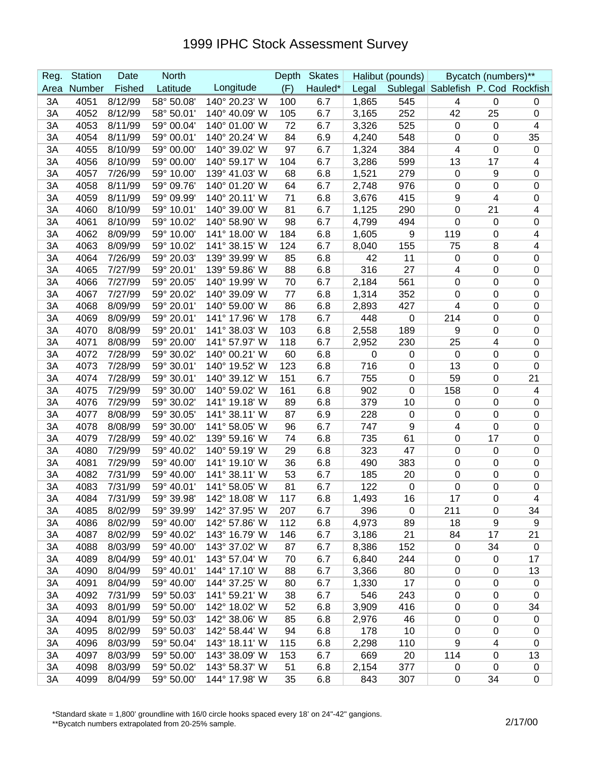| Reg. | <b>Station</b> | Date    | <b>North</b> |               | Depth | <b>Skates</b> |       | Halibut (pounds) |                                    | Bycatch (numbers)** |                  |
|------|----------------|---------|--------------|---------------|-------|---------------|-------|------------------|------------------------------------|---------------------|------------------|
| Area | Number         | Fished  | Latitude     | Longitude     | (F)   | Hauled*       | Legal |                  | Sublegal Sablefish P. Cod Rockfish |                     |                  |
| 3A   | 4051           | 8/12/99 | 58° 50.08'   | 140° 20.23' W | 100   | 6.7           | 1,865 | 545              | 4                                  | $\mathbf 0$         | 0                |
| 3A   | 4052           | 8/12/99 | 58° 50.01'   | 140° 40.09' W | 105   | 6.7           | 3,165 | 252              | 42                                 | 25                  | $\boldsymbol{0}$ |
| 3A   | 4053           | 8/11/99 | 59° 00.04'   | 140° 01.00' W | 72    | 6.7           | 3,326 | 525              | $\mathbf 0$                        | $\mathbf 0$         | 4                |
| 3A   | 4054           | 8/11/99 | 59° 00.01'   | 140° 20.24' W | 84    | 6.9           | 4,240 | 548              | 0                                  | 0                   | 35               |
| 3A   | 4055           | 8/10/99 | 59° 00.00'   | 140° 39.02' W | 97    | 6.7           | 1,324 | 384              | 4                                  | $\mathbf 0$         | $\mathbf 0$      |
| 3A   | 4056           | 8/10/99 | 59° 00.00'   | 140° 59.17' W | 104   | 6.7           | 3,286 | 599              | 13                                 | 17                  | 4                |
| 3A   | 4057           | 7/26/99 | 59° 10.00'   | 139° 41.03' W | 68    | 6.8           | 1,521 | 279              | 0                                  | 9                   | $\mathbf 0$      |
| 3A   | 4058           | 8/11/99 | 59° 09.76'   | 140° 01.20' W | 64    | 6.7           | 2,748 | 976              | 0                                  | 0                   | $\mathbf 0$      |
| 3A   | 4059           | 8/11/99 | 59° 09.99'   | 140° 20.11' W | 71    | 6.8           | 3,676 | 415              | 9                                  | 4                   | $\mathbf 0$      |
| 3A   | 4060           | 8/10/99 | 59° 10.01'   | 140° 39.00' W | 81    | 6.7           | 1,125 | 290              | $\mathbf 0$                        | 21                  | 4                |
| 3A   | 4061           | 8/10/99 | 59° 10.02'   | 140° 58.90' W | 98    | 6.7           | 4,799 | 494              | 0                                  | 0                   | $\boldsymbol{0}$ |
| 3A   | 4062           | 8/09/99 | 59° 10.00'   | 141° 18.00' W | 184   | 6.8           | 1,605 | 9                | 119                                | 0                   | 4                |
| 3A   | 4063           | 8/09/99 | 59° 10.02'   | 141° 38.15' W | 124   | 6.7           | 8,040 | 155              | 75                                 | 8                   | 4                |
| 3A   | 4064           | 7/26/99 | 59° 20.03'   | 139° 39.99' W | 85    | 6.8           | 42    | 11               | $\pmb{0}$                          | 0                   | $\boldsymbol{0}$ |
| 3A   | 4065           | 7/27/99 | 59° 20.01'   | 139° 59.86' W | 88    | 6.8           | 316   | 27               | 4                                  | 0                   | $\mathbf 0$      |
| 3A   | 4066           | 7/27/99 | 59° 20.05'   | 140° 19.99' W | 70    | 6.7           | 2,184 | 561              | $\mathbf 0$                        | 0                   | $\boldsymbol{0}$ |
| 3A   | 4067           | 7/27/99 | 59° 20.02'   | 140° 39.09' W | 77    | 6.8           | 1,314 | 352              | 0                                  | 0                   | $\boldsymbol{0}$ |
| 3A   | 4068           | 8/09/99 | 59° 20.01'   | 140° 59.00' W | 86    | 6.8           | 2,893 | 427              | 4                                  | 0                   | $\mathbf 0$      |
| 3A   | 4069           | 8/09/99 | 59° 20.01'   | 141° 17.96' W | 178   | 6.7           | 448   | $\pmb{0}$        | 214                                | 0                   | $\mathbf 0$      |
| 3A   | 4070           | 8/08/99 | 59° 20.01'   | 141° 38.03' W | 103   | 6.8           | 2,558 | 189              | 9                                  | 0                   | $\mathbf 0$      |
| 3A   | 4071           | 8/08/99 | 59° 20.00'   | 141° 57.97' W | 118   | 6.7           | 2,952 | 230              | 25                                 | 4                   | $\mathbf 0$      |
| 3A   | 4072           | 7/28/99 | 59° 30.02'   | 140° 00.21' W | 60    | 6.8           | 0     | $\pmb{0}$        | 0                                  | 0                   | $\mathbf 0$      |
| 3A   | 4073           | 7/28/99 | 59° 30.01'   | 140° 19.52' W | 123   | 6.8           | 716   | $\pmb{0}$        | 13                                 | 0                   | $\boldsymbol{0}$ |
| 3A   | 4074           | 7/28/99 | 59° 30.01'   | 140° 39.12' W | 151   | 6.7           | 755   | $\pmb{0}$        | 59                                 | 0                   | 21               |
| 3A   | 4075           | 7/29/99 | 59° 30.00'   | 140° 59.02' W | 161   | 6.8           | 902   | $\pmb{0}$        | 158                                | 0                   | 4                |
| 3A   | 4076           | 7/29/99 | 59° 30.02'   | 141° 19.18' W | 89    | 6.8           | 379   | 10               | 0                                  | 0                   | $\boldsymbol{0}$ |
| 3A   | 4077           | 8/08/99 | 59° 30.05'   | 141° 38.11' W | 87    | 6.9           | 228   | $\pmb{0}$        | 0                                  | $\mathbf 0$         | $\boldsymbol{0}$ |
| 3A   | 4078           | 8/08/99 | 59° 30.00'   | 141° 58.05' W | 96    | 6.7           | 747   | 9                | 4                                  | 0                   | $\boldsymbol{0}$ |
| 3A   | 4079           | 7/28/99 | 59° 40.02'   | 139° 59.16' W | 74    | 6.8           | 735   | 61               | 0                                  | 17                  | $\boldsymbol{0}$ |
| 3A   | 4080           | 7/29/99 | 59° 40.02'   | 140° 59.19' W | 29    | 6.8           | 323   | 47               | 0                                  | 0                   | $\boldsymbol{0}$ |
| 3A   | 4081           | 7/29/99 | 59° 40.00'   | 141° 19.10' W | 36    | 6.8           | 490   | 383              | 0                                  | 0                   | $\boldsymbol{0}$ |
| 3A   | 4082           | 7/31/99 | 59° 40.00'   | 141° 38.11' W | 53    | 6.7           | 185   | 20               | 0                                  | 0                   | $\mathbf 0$      |
| 3A   | 4083           | 7/31/99 | 59° 40.01'   | 141° 58.05' W | 81    | 6.7           | 122   | $\pmb{0}$        | 0                                  | 0                   | $\boldsymbol{0}$ |
| 3A   | 4084           | 7/31/99 | 59° 39.98'   | 142° 18.08' W | 117   | 6.8           | 1,493 | 16               | 17                                 | $\Omega$            | 4                |
| 3A   | 4085           | 8/02/99 | 59° 39.99'   | 142° 37.95' W | 207   | 6.7           | 396   | 0                | 211                                | 0                   | 34               |
| 3A   | 4086           | 8/02/99 | 59° 40.00'   | 142° 57.86' W | 112   | 6.8           | 4,973 | 89               | 18                                 | 9                   | 9                |
| 3A   | 4087           | 8/02/99 | 59° 40.02'   | 143° 16.79' W | 146   | 6.7           | 3,186 | 21               | 84                                 | 17                  | 21               |
| 3A   | 4088           | 8/03/99 | 59° 40.00'   | 143° 37.02' W | 87    | 6.7           | 8,386 | 152              | $\mathbf 0$                        | 34                  | $\pmb{0}$        |
| 3A   | 4089           | 8/04/99 | 59° 40.01'   | 143° 57.04' W | 70    | 6.7           | 6,840 | 244              | $\mathbf 0$                        | $\mathbf 0$         | 17               |
| 3A   | 4090           | 8/04/99 | 59° 40.01'   | 144° 17.10' W | 88    | 6.7           | 3,366 | 80               | $\mathbf 0$                        | $\mathbf 0$         | 13               |
| 3A   | 4091           | 8/04/99 | 59° 40.00'   | 144° 37.25' W | 80    | 6.7           | 1,330 | 17               | 0                                  | $\mathbf 0$         | $\mathbf 0$      |
| 3A   | 4092           | 7/31/99 | 59° 50.03'   | 141° 59.21' W | 38    | 6.7           | 546   | 243              | 0                                  | $\pmb{0}$           | $\mathbf 0$      |
| 3A   | 4093           | 8/01/99 | 59° 50.00'   | 142° 18.02' W | 52    | 6.8           | 3,909 | 416              | $\mathbf 0$                        | $\mathbf 0$         | 34               |
| 3A   | 4094           | 8/01/99 | 59° 50.03'   | 142° 38.06' W | 85    | 6.8           | 2,976 | 46               | $\pmb{0}$                          | $\mathbf 0$         | 0                |
| 3A   | 4095           | 8/02/99 | 59° 50.03'   | 142° 58.44' W | 94    | 6.8           | 178   | 10               | $\mathbf 0$                        | 0                   | 0                |
| 3A   | 4096           | 8/03/99 | 59° 50.04'   | 143° 18.11' W | 115   | 6.8           | 2,298 | 110              | 9                                  | 4                   | 0                |
| 3A   | 4097           | 8/03/99 | 59° 50.00'   | 143° 38.09' W | 153   | 6.7           | 669   | 20               | 114                                | $\mathbf 0$         | 13               |
| 3A   | 4098           | 8/03/99 | 59° 50.02'   | 143° 58.37' W | 51    | 6.8           | 2,154 | 377              | 0                                  | $\mathbf 0$         | $\pmb{0}$        |
| 3A   | 4099           | 8/04/99 | 59° 50.00'   | 144° 17.98' W | 35    | 6.8           | 843   | 307              | 0                                  | 34                  | $\boldsymbol{0}$ |

\*Standard skate = 1,800' groundline with 16/0 circle hooks spaced every 18' on 24"-42" gangions.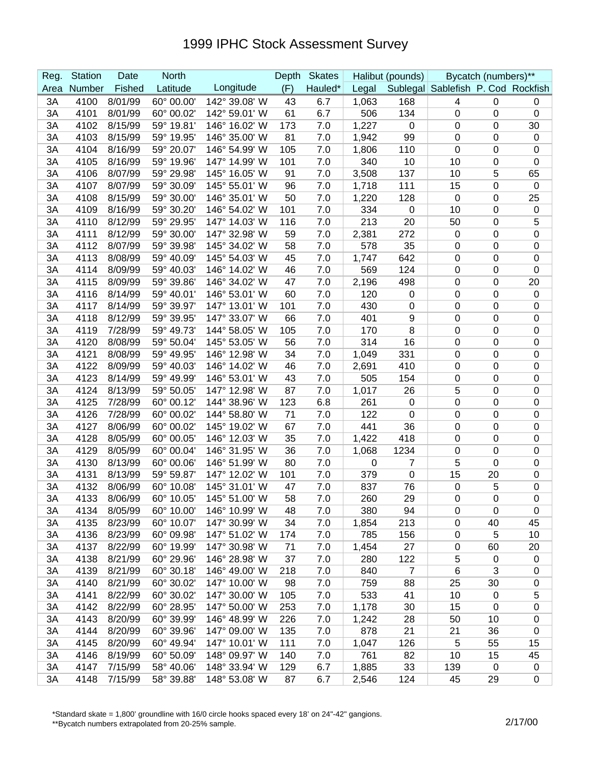| Reg. | <b>Station</b> | Date    | <b>North</b> |               | Depth | <b>Skates</b> |       | Halibut (pounds) |                                    | Bycatch (numbers)** |                  |
|------|----------------|---------|--------------|---------------|-------|---------------|-------|------------------|------------------------------------|---------------------|------------------|
| Area | Number         | Fished  | Latitude     | Longitude     | (F)   | Hauled*       | Legal |                  | Sublegal Sablefish P. Cod Rockfish |                     |                  |
| 3A   | 4100           | 8/01/99 | 60° 00.00'   | 142° 39.08' W | 43    | 6.7           | 1,063 | 168              | 4                                  | $\mathbf 0$         | 0                |
| 3A   | 4101           | 8/01/99 | 60° 00.02'   | 142° 59.01' W | 61    | 6.7           | 506   | 134              | 0                                  | $\mathbf 0$         | $\boldsymbol{0}$ |
| 3A   | 4102           | 8/15/99 | 59° 19.81'   | 146° 16.02' W | 173   | 7.0           | 1,227 | 0                | $\mathbf 0$                        | 0                   | 30               |
| 3A   | 4103           | 8/15/99 | 59° 19.95'   | 146° 35.00' W | 81    | 7.0           | 1,942 | 99               | 0                                  | 0                   | $\boldsymbol{0}$ |
| 3A   | 4104           | 8/16/99 | 59° 20.07'   | 146° 54.99' W | 105   | 7.0           | 1,806 | 110              | $\mathbf 0$                        | 0                   | $\mathbf 0$      |
| 3A   | 4105           | 8/16/99 | 59° 19.96'   | 147° 14.99' W | 101   | 7.0           | 340   | 10               | 10                                 | 0                   | $\boldsymbol{0}$ |
| 3A   | 4106           | 8/07/99 | 59° 29.98'   | 145° 16.05' W | 91    | 7.0           | 3,508 | 137              | 10                                 | 5                   | 65               |
| 3A   | 4107           | 8/07/99 | 59° 30.09'   | 145° 55.01' W | 96    | 7.0           | 1,718 | 111              | 15                                 | 0                   | $\mathbf 0$      |
| 3A   | 4108           | 8/15/99 | 59° 30.00'   | 146° 35.01' W | 50    | 7.0           | 1,220 | 128              | 0                                  | 0                   | 25               |
| 3A   | 4109           | 8/16/99 | 59° 30.20'   | 146° 54.02' W | 101   | 7.0           | 334   | 0                | 10                                 | 0                   | $\boldsymbol{0}$ |
| 3A   | 4110           | 8/12/99 | 59° 29.95'   | 147° 14.03' W | 116   | 7.0           | 213   | 20               | 50                                 | 0                   | 5                |
| 3A   | 4111           | 8/12/99 | 59° 30.00    | 147° 32.98' W | 59    | 7.0           | 2,381 | 272              | 0                                  | 0                   | $\boldsymbol{0}$ |
| 3A   | 4112           | 8/07/99 | 59° 39.98'   | 145° 34.02' W | 58    | 7.0           | 578   | 35               | $\mathbf 0$                        | 0                   | $\boldsymbol{0}$ |
| 3A   | 4113           | 8/08/99 | 59° 40.09'   | 145° 54.03' W | 45    | 7.0           | 1,747 | 642              | $\mathbf 0$                        | 0                   | $\boldsymbol{0}$ |
| 3A   | 4114           | 8/09/99 | 59° 40.03'   | 146° 14.02' W | 46    | 7.0           | 569   | 124              | 0                                  | 0                   | $\boldsymbol{0}$ |
| 3A   | 4115           | 8/09/99 | 59° 39.86'   | 146° 34.02' W | 47    | 7.0           | 2,196 | 498              | $\mathbf 0$                        | 0                   | 20               |
| 3A   | 4116           | 8/14/99 | 59° 40.01'   | 146° 53.01' W | 60    | 7.0           | 120   | 0                | $\mathbf 0$                        | 0                   | $\boldsymbol{0}$ |
| 3A   | 4117           | 8/14/99 | 59° 39.97'   | 147° 13.01' W | 101   | 7.0           | 430   | 0                | 0                                  | 0                   | $\mathbf 0$      |
| 3A   | 4118           | 8/12/99 | 59° 39.95'   | 147° 33.07' W | 66    | 7.0           | 401   | 9                | $\mathbf 0$                        | 0                   | $\mathbf 0$      |
| 3A   | 4119           | 7/28/99 | 59° 49.73'   | 144° 58.05' W | 105   | 7.0           | 170   | 8                | $\mathbf 0$                        | 0                   | $\mathbf 0$      |
| 3A   | 4120           | 8/08/99 | 59° 50.04'   | 145° 53.05' W | 56    | 7.0           | 314   | 16               | 0                                  | 0                   | $\mathbf 0$      |
| 3A   | 4121           | 8/08/99 | 59° 49.95'   | 146° 12.98' W | 34    | 7.0           | 1,049 | 331              | 0                                  | 0                   | $\mathbf 0$      |
| 3A   | 4122           | 8/09/99 | 59° 40.03'   | 146° 14.02' W | 46    | 7.0           | 2,691 | 410              | $\mathbf 0$                        | 0                   | $\boldsymbol{0}$ |
| 3A   | 4123           | 8/14/99 | 59° 49.99'   | 146° 53.01' W | 43    | 7.0           | 505   | 154              | $\mathbf 0$                        | 0                   | $\boldsymbol{0}$ |
| 3A   | 4124           | 8/13/99 | 59° 50.05    | 147° 12.98' W | 87    | 7.0           | 1,017 | 26               | 5                                  | 0                   | $\boldsymbol{0}$ |
| 3A   | 4125           | 7/28/99 | 60° 00.12'   | 144° 38.96' W | 123   | 6.8           | 261   | 0                | 0                                  | 0                   | $\boldsymbol{0}$ |
| 3A   | 4126           | 7/28/99 | 60° 00.02'   | 144° 58.80' W | 71    | 7.0           | 122   | 0                | $\mathbf 0$                        | 0                   | $\boldsymbol{0}$ |
| 3A   | 4127           | 8/06/99 | 60° 00.02'   | 145° 19.02' W | 67    | 7.0           | 441   | 36               | $\mathbf 0$                        | 0                   | $\mathbf 0$      |
| 3A   | 4128           | 8/05/99 | 60° 00.05'   | 146° 12.03' W | 35    | 7.0           | 1,422 | 418              | 0                                  | 0                   | $\boldsymbol{0}$ |
| 3A   | 4129           | 8/05/99 | 60° 00.04'   | 146° 31.95' W | 36    | 7.0           | 1,068 | 1234             | 0                                  | 0                   | $\boldsymbol{0}$ |
| 3A   | 4130           | 8/13/99 | 60° 00.06'   | 146° 51.99' W | 80    | 7.0           | 0     | 7                | 5                                  | 0                   | $\boldsymbol{0}$ |
| 3A   | 4131           | 8/13/99 | 59° 59.87'   | 147° 12.02' W | 101   | 7.0           | 379   | 0                | 15                                 | 20                  | $\mathbf 0$      |
| 3A   | 4132           | 8/06/99 | 60° 10.08'   | 145° 31.01' W | 47    | 7.0           | 837   | 76               | 0                                  | 5                   | 0                |
| 3A   | 4133           | 8/06/99 | 60° 10.05'   | 145° 51.00' W | 58    | 7.0           | 260   | 29               | $\Omega$                           | $\mathbf 0$         | $\Omega$         |
| ЗA   | 4134           | 8/05/99 | 60° 10.00'   | 146° 10.99' W | 48    | 7.0           | 380   | 94               | $\mathbf 0$                        | 0                   | $\mathbf 0$      |
| 3A   | 4135           | 8/23/99 | 60° 10.07'   | 147° 30.99' W | 34    | 7.0           | 1,854 | 213              | $\mathbf 0$                        | 40                  | 45               |
| 3A   | 4136           | 8/23/99 | 60° 09.98'   | 147° 51.02' W | 174   | 7.0           | 785   | 156              | $\mathbf 0$                        | 5                   | 10               |
| 3A   | 4137           | 8/22/99 | 60° 19.99'   | 147° 30.98' W | 71    | 7.0           | 1,454 | 27               | $\mathbf 0$                        | 60                  | 20               |
| 3A   | 4138           | 8/21/99 | 60° 29.96'   | 146° 28.98' W | 37    | 7.0           | 280   | 122              | 5                                  | 0                   | $\pmb{0}$        |
| 3A   | 4139           | 8/21/99 | 60° 30.18'   | 146° 49.00' W | 218   | 7.0           | 840   | $\overline{7}$   | 6                                  | 3                   | 0                |
| 3A   | 4140           | 8/21/99 | 60° 30.02'   | 147° 10.00' W | 98    | 7.0           | 759   | 88               | 25                                 | 30                  | 0                |
| 3A   | 4141           | 8/22/99 | 60° 30.02'   | 147° 30.00' W | 105   | 7.0           | 533   | 41               | 10                                 | $\mathbf 0$         | $\mathbf 5$      |
| 3A   | 4142           | 8/22/99 | 60° 28.95'   | 147° 50.00' W | 253   | 7.0           | 1,178 | 30               | 15                                 | $\mathbf 0$         | $\pmb{0}$        |
| 3A   | 4143           | 8/20/99 | 60° 39.99'   | 146° 48.99' W | 226   | 7.0           | 1,242 | 28               | 50                                 | 10                  | 0                |
| 3A   | 4144           | 8/20/99 | 60° 39.96'   | 147° 09.00' W | 135   | 7.0           | 878   | 21               | 21                                 | 36                  | $\pmb{0}$        |
| 3A   | 4145           | 8/20/99 | 60° 49.94'   | 147° 10.01' W | 111   | 7.0           | 1,047 | 126              | 5                                  | 55                  | 15               |
| 3A   | 4146           | 8/19/99 | 60° 50.09'   | 148° 09.97' W | 140   | 7.0           | 761   | 82               | 10                                 | 15                  | 45               |
| 3A   | 4147           | 7/15/99 | 58° 40.06'   | 148° 33.94' W | 129   | 6.7           | 1,885 | 33               | 139                                | $\mathbf 0$         | $\pmb{0}$        |
| 3A   | 4148           | 7/15/99 | 58° 39.88'   | 148° 53.08' W | 87    | 6.7           | 2,546 | 124              | 45                                 | 29                  | $\mathbf 0$      |

\*Standard skate = 1,800' groundline with 16/0 circle hooks spaced every 18' on 24"-42" gangions.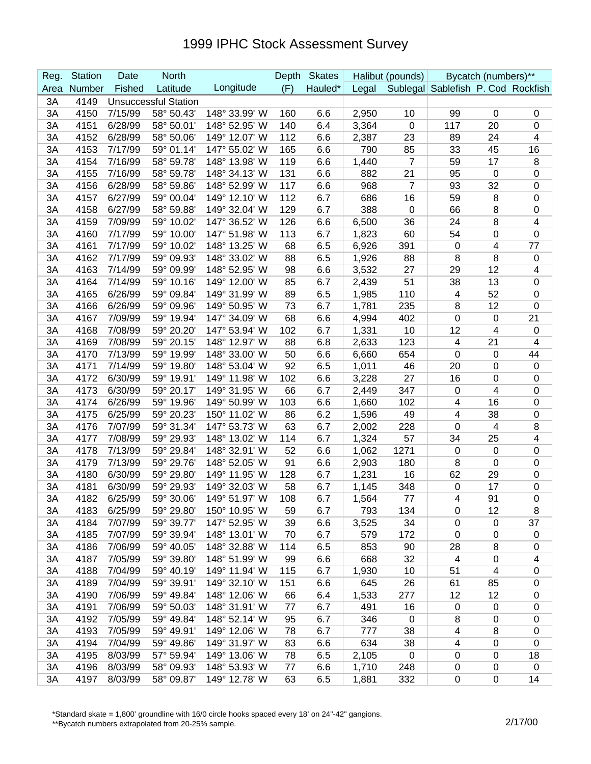| Reg. | <b>Station</b> | Date    | <b>North</b>                |               | Depth | <b>Skates</b> |       | Halibut (pounds) |                                    | Bycatch (numbers)**     |                          |
|------|----------------|---------|-----------------------------|---------------|-------|---------------|-------|------------------|------------------------------------|-------------------------|--------------------------|
| Area | Number         | Fished  | Latitude                    | Longitude     | (F)   | Hauled*       | Legal |                  | Sublegal Sablefish P. Cod Rockfish |                         |                          |
| 3A   | 4149           |         | <b>Unsuccessful Station</b> |               |       |               |       |                  |                                    |                         |                          |
| 3A   | 4150           | 7/15/99 | 58° 50.43'                  | 148° 33.99' W | 160   | 6.6           | 2,950 | 10               | 99                                 | $\mathbf 0$             | 0                        |
| 3A   | 4151           | 6/28/99 | 58° 50.01'                  | 148° 52.95' W | 140   | 6.4           | 3,364 | $\pmb{0}$        | 117                                | 20                      | 0                        |
| 3A   | 4152           | 6/28/99 | 58° 50.06'                  | 149° 12.07' W | 112   | 6.6           | 2,387 | 23               | 89                                 | 24                      | 4                        |
| 3A   | 4153           | 7/17/99 | 59° 01.14'                  | 147° 55.02' W | 165   | 6.6           | 790   | 85               | 33                                 | 45                      | 16                       |
| 3A   | 4154           | 7/16/99 | 58° 59.78'                  | 148° 13.98' W | 119   | 6.6           | 1,440 | $\overline{7}$   | 59                                 | 17                      | 8                        |
| 3A   | 4155           | 7/16/99 | 58° 59.78'                  | 148° 34.13' W | 131   | 6.6           | 882   | 21               | 95                                 | $\mathbf 0$             | 0                        |
| 3A   | 4156           | 6/28/99 | 58° 59.86'                  | 148° 52.99' W | 117   | 6.6           | 968   | 7                | 93                                 | 32                      | 0                        |
| 3A   | 4157           | 6/27/99 | 59° 00.04'                  | 149° 12.10' W | 112   | 6.7           | 686   | 16               | 59                                 | 8                       | 0                        |
| 3A   | 4158           | 6/27/99 | 58° 59.88'                  | 149° 32.04' W | 129   | 6.7           | 388   | $\pmb{0}$        | 66                                 | 8                       | 0                        |
| 3A   | 4159           | 7/09/99 | 59° 10.02'                  | 147° 36.52' W | 126   | 6.6           | 6,500 | 36               | 24                                 | 8                       | 4                        |
| 3A   | 4160           | 7/17/99 | 59° 10.00'                  | 147° 51.98' W | 113   | 6.7           | 1,823 | 60               | 54                                 | 0                       | $\mathbf 0$              |
| 3A   | 4161           | 7/17/99 | 59° 10.02'                  | 148° 13.25' W | 68    | 6.5           | 6,926 | 391              | 0                                  | 4                       | 77                       |
| 3A   | 4162           | 7/17/99 | 59° 09.93'                  | 148° 33.02' W | 88    | 6.5           | 1,926 | 88               | 8                                  | 8                       | 0                        |
| 3A   | 4163           | 7/14/99 | 59° 09.99'                  | 148° 52.95' W | 98    | 6.6           | 3,532 | 27               | 29                                 | 12                      | 4                        |
| 3A   | 4164           | 7/14/99 | 59° 10.16'                  | 149° 12.00' W | 85    | 6.7           | 2,439 | 51               | 38                                 | 13                      | $\pmb{0}$                |
| 3A   | 4165           | 6/26/99 | 59° 09.84'                  | 149° 31.99' W | 89    | 6.5           | 1,985 | 110              | $\overline{4}$                     | 52                      | 0                        |
| 3A   | 4166           | 6/26/99 | 59° 09.96'                  | 149° 50.95' W | 73    | 6.7           | 1,781 | 235              | 8                                  | 12                      | 0                        |
| 3A   | 4167           | 7/09/99 | 59° 19.94'                  | 147° 34.09' W | 68    | 6.6           | 4,994 | 402              | 0                                  | 0                       | 21                       |
| 3A   | 4168           | 7/08/99 | 59° 20.20'                  | 147° 53.94' W | 102   | 6.7           | 1,331 | 10               | 12                                 | 4                       | 0                        |
| 3A   | 4169           | 7/08/99 | 59° 20.15'                  | 148° 12.97' W | 88    | 6.8           | 2,633 | 123              | $\overline{4}$                     | 21                      | 4                        |
| 3A   | 4170           | 7/13/99 | 59° 19.99'                  | 148° 33.00' W | 50    | 6.6           | 6,660 | 654              | 0                                  | 0                       | 44                       |
| 3A   | 4171           | 7/14/99 | 59° 19.80'                  | 148° 53.04' W | 92    | 6.5           | 1,011 | 46               | 20                                 | 0                       | $\pmb{0}$                |
| 3A   | 4172           | 6/30/99 | 59° 19.91'                  | 149° 11.98' W | 102   | 6.6           | 3,228 | 27               | 16                                 | 0                       | 0                        |
| 3A   | 4173           | 6/30/99 | 59° 20.17'                  | 149° 31.95' W | 66    | 6.7           | 2,449 | 347              | 0                                  | 4                       | 0                        |
| 3A   | 4174           | 6/26/99 | 59° 19.96'                  | 149° 50.99' W | 103   | 6.6           | 1,660 | 102              | $\overline{\mathbf{4}}$            | 16                      | 0                        |
| 3A   | 4175           | 6/25/99 | 59° 20.23'                  | 150° 11.02' W | 86    | 6.2           | 1,596 | 49               | $\overline{\mathbf{4}}$            | 38                      | $\boldsymbol{0}$         |
| 3A   | 4176           | 7/07/99 | 59° 31.34'                  | 147° 53.73' W | 63    | 6.7           | 2,002 | 228              | 0                                  | 4                       | 8                        |
| 3A   | 4177           | 7/08/99 | 59° 29.93'                  | 148° 13.02' W | 114   | 6.7           | 1,324 | 57               | 34                                 | 25                      | 4                        |
| 3A   | 4178           | 7/13/99 | 59° 29.84'                  | 148° 32.91' W | 52    | 6.6           | 1,062 | 1271             | $\mathbf 0$                        | $\mathbf 0$             | 0                        |
| 3A   | 4179           | 7/13/99 | 59° 29.76'                  | 148° 52.05' W | 91    | 6.6           | 2,903 | 180              | 8                                  | $\mathbf 0$             | 0                        |
| 3A   | 4180           | 6/30/99 | 59° 29.80'                  | 149° 11.95' W | 128   | 6.7           | 1,231 | 16               | 62                                 | 29                      | 0                        |
| 3A   | 4181           | 6/30/99 | 59° 29.93'                  | 149° 32.03' W | 58    | 6.7           | 1,145 | 348              | $\mathbf 0$                        | 17                      | 0                        |
| 3A   | 4182           | 6/25/99 | 59° 30.06'                  | 149° 51.97' W | 108   | 6.7           | 1,564 | 77               | 4                                  | 91                      | $\Omega$                 |
| 3A   | 4183           | 6/25/99 | 59° 29.80'                  | 150° 10.95' W | 59    | 6.7           | 793   | 134              | 0                                  | 12                      | 8                        |
| 3A   | 4184           | 7/07/99 | 59° 39.77'                  | 147° 52.95' W | 39    | 6.6           | 3,525 | 34               | $\mathbf 0$                        | $\pmb{0}$               | 37                       |
| 3A   | 4185           | 7/07/99 | 59° 39.94'                  | 148° 13.01' W | 70    | 6.7           | 579   | 172              | 0                                  | $\mathbf 0$             | $\pmb{0}$                |
| 3A   | 4186           | 7/06/99 | 59° 40.05'                  | 148° 32.88' W | 114   | 6.5           | 853   | 90               | 28                                 | 8                       | 0                        |
| 3A   | 4187           | 7/05/99 | 59° 39.80'                  | 148° 51.99' W | 99    | 6.6           | 668   | 32               | 4                                  | $\mathbf 0$             | $\overline{\mathcal{A}}$ |
| 3A   | 4188           | 7/04/99 | 59° 40.19'                  | 149° 11.94' W | 115   | 6.7           | 1,930 | 10               | 51                                 | $\overline{\mathbf{4}}$ | $\pmb{0}$                |
| 3A   | 4189           | 7/04/99 | 59° 39.91'                  | 149° 32.10' W | 151   | 6.6           | 645   | 26               | 61                                 | 85                      | 0                        |
| 3A   | 4190           | 7/06/99 | 59° 49.84'                  | 148° 12.06' W | 66    | 6.4           | 1,533 | 277              | 12                                 | 12                      | 0                        |
| 3A   | 4191           | 7/06/99 | 59° 50.03'                  | 148° 31.91' W | 77    | 6.7           | 491   | 16               | $\mathbf 0$                        | $\mathbf 0$             | 0                        |
| 3A   | 4192           | 7/05/99 | 59° 49.84'                  | 148° 52.14' W | 95    | 6.7           | 346   | $\pmb{0}$        | 8                                  | 0                       | 0                        |
| 3A   | 4193           | 7/05/99 | 59° 49.91'                  | 149° 12.06' W | 78    | 6.7           | 777   | 38               | $\overline{\mathbf{4}}$            | 8                       | 0                        |
| 3A   | 4194           | 7/04/99 | 59° 49.86'                  | 149° 31.97' W | 83    | 6.6           | 634   | 38               | $\overline{\mathcal{A}}$           | 0                       | 0                        |
| 3A   | 4195           | 8/03/99 | 57° 59.94'                  | 149° 13.06' W | 78    | 6.5           | 2,105 | $\mathbf 0$      | $\mathbf 0$                        | 0                       | 18                       |
| 3A   | 4196           | 8/03/99 | 58° 09.93'                  | 148° 53.93' W | 77    | 6.6           | 1,710 | 248              | 0                                  | $\pmb{0}$               | $\mathbf 0$              |
| 3A   | 4197           | 8/03/99 | 58° 09.87'                  | 149° 12.78' W | 63    | 6.5           | 1,881 | 332              | 0                                  | 0                       | 14                       |

\*Standard skate = 1,800' groundline with 16/0 circle hooks spaced every 18' on 24"-42" gangions.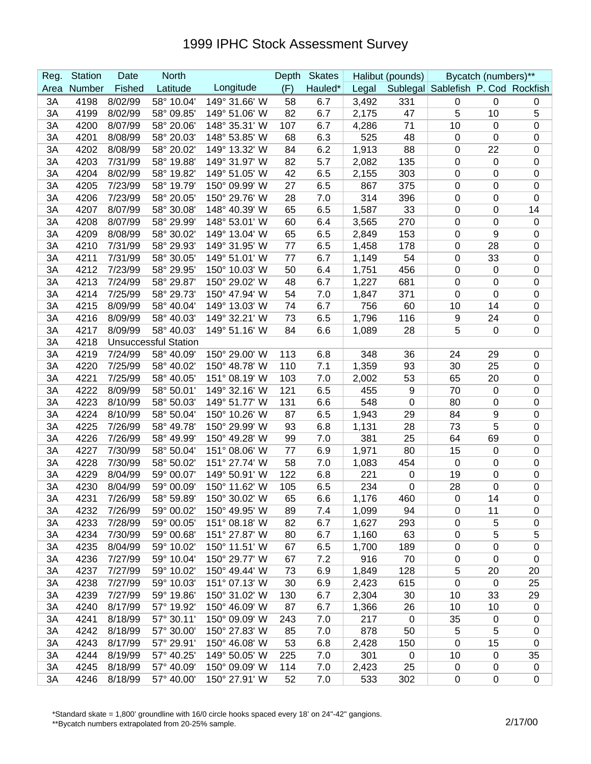| Reg. | <b>Station</b> | Date    | <b>North</b>                |               | Depth | <b>Skates</b> |       | Halibut (pounds) |                                    | Bycatch (numbers)** |                  |
|------|----------------|---------|-----------------------------|---------------|-------|---------------|-------|------------------|------------------------------------|---------------------|------------------|
| Area | Number         | Fished  | Latitude                    | Longitude     | (F)   | Hauled*       | Legal |                  | Sublegal Sablefish P. Cod Rockfish |                     |                  |
| 3A   | 4198           | 8/02/99 | 58° 10.04'                  | 149° 31.66' W | 58    | 6.7           | 3,492 | 331              | $\mathbf 0$                        | $\mathbf 0$         | 0                |
| 3A   | 4199           | 8/02/99 | 58° 09.85'                  | 149° 51.06' W | 82    | 6.7           | 2,175 | 47               | 5                                  | 10                  | 5                |
| 3A   | 4200           | 8/07/99 | 58° 20.06'                  | 148° 35.31' W | 107   | 6.7           | 4,286 | 71               | 10                                 | $\mathbf 0$         | $\boldsymbol{0}$ |
| 3A   | 4201           | 8/08/99 | 58° 20.03'                  | 148° 53.85' W | 68    | 6.3           | 525   | 48               | $\mathbf 0$                        | $\mathbf 0$         | $\boldsymbol{0}$ |
| 3A   | 4202           | 8/08/99 | 58° 20.02'                  | 149° 13.32' W | 84    | 6.2           | 1,913 | 88               | $\mathbf 0$                        | 22                  | $\boldsymbol{0}$ |
| 3A   | 4203           | 7/31/99 | 58° 19.88'                  | 149° 31.97' W | 82    | 5.7           | 2,082 | 135              | 0                                  | 0                   | $\pmb{0}$        |
| 3A   | 4204           | 8/02/99 | 58° 19.82'                  | 149° 51.05' W | 42    | 6.5           | 2,155 | 303              | $\pmb{0}$                          | 0                   | $\pmb{0}$        |
| 3A   | 4205           | 7/23/99 | 58° 19.79'                  | 150° 09.99' W | 27    | 6.5           | 867   | 375              | $\pmb{0}$                          | $\mathbf 0$         | $\pmb{0}$        |
| 3A   | 4206           | 7/23/99 | 58° 20.05'                  | 150° 29.76' W | 28    | 7.0           | 314   | 396              | $\pmb{0}$                          | 0                   | $\mathbf 0$      |
| 3A   | 4207           | 8/07/99 | 58° 30.08'                  | 148° 40.39' W | 65    | 6.5           | 1,587 | 33               | $\pmb{0}$                          | 0                   | 14               |
| 3A   | 4208           | 8/07/99 | 58° 29.99'                  | 148° 53.01' W | 60    | 6.4           | 3,565 | 270              | $\mathbf 0$                        | 0                   | $\boldsymbol{0}$ |
| 3A   | 4209           | 8/08/99 | 58° 30.02'                  | 149° 13.04' W | 65    | 6.5           | 2,849 | 153              | $\mathbf 0$                        | 9                   | $\boldsymbol{0}$ |
| 3A   | 4210           | 7/31/99 | 58° 29.93'                  | 149° 31.95' W | 77    | 6.5           | 1,458 | 178              | $\mathbf 0$                        | 28                  | $\boldsymbol{0}$ |
| 3A   | 4211           | 7/31/99 | 58° 30.05'                  | 149° 51.01' W | 77    | 6.7           | 1,149 | 54               | $\mathbf 0$                        | 33                  | $\pmb{0}$        |
| 3A   | 4212           | 7/23/99 | 58° 29.95'                  | 150° 10.03' W | 50    | 6.4           | 1,751 | 456              | $\mathbf 0$                        | $\mathbf 0$         | $\mathbf 0$      |
| 3A   | 4213           | 7/24/99 | 58° 29.87'                  | 150° 29.02' W | 48    | 6.7           | 1,227 | 681              | $\pmb{0}$                          | 0                   | $\boldsymbol{0}$ |
| 3A   | 4214           | 7/25/99 | 58° 29.73'                  | 150° 47.94' W | 54    | 7.0           | 1,847 | 371              | $\mathbf 0$                        | $\mathbf 0$         | $\boldsymbol{0}$ |
| 3A   | 4215           | 8/09/99 | 58° 40.04'                  | 149° 13.03' W | 74    | 6.7           | 756   | 60               | 10                                 | 14                  | $\mathbf 0$      |
| 3A   | 4216           | 8/09/99 | 58° 40.03'                  | 149° 32.21' W | 73    | 6.5           | 1,796 | 116              | 9                                  | 24                  | $\pmb{0}$        |
| 3A   | 4217           | 8/09/99 | 58° 40.03'                  | 149° 51.16' W | 84    | 6.6           | 1,089 | 28               | 5                                  | 0                   | $\mathbf 0$      |
| 3A   | 4218           |         | <b>Unsuccessful Station</b> |               |       |               |       |                  |                                    |                     |                  |
| 3A   | 4219           | 7/24/99 | 58° 40.09'                  | 150° 29.00' W | 113   | 6.8           | 348   | 36               | 24                                 | 29                  | $\pmb{0}$        |
| 3A   | 4220           | 7/25/99 | 58° 40.02'                  | 150° 48.78' W | 110   | 7.1           | 1,359 | 93               | 30                                 | 25                  | $\mathbf 0$      |
| 3A   | 4221           | 7/25/99 | 58° 40.05'                  | 151° 08.19' W | 103   | 7.0           | 2,002 | 53               | 65                                 | 20                  | $\boldsymbol{0}$ |
| 3A   | 4222           | 8/09/99 | 58° 50.01'                  | 149° 32.16' W | 121   | 6.5           | 455   | 9                | 70                                 | 0                   | $\boldsymbol{0}$ |
| 3A   | 4223           | 8/10/99 | 58° 50.03'                  | 149° 51.77' W | 131   | 6.6           | 548   | $\pmb{0}$        | 80                                 | 0                   | $\pmb{0}$        |
| 3A   | 4224           | 8/10/99 | 58° 50.04'                  | 150° 10.26' W | 87    | 6.5           | 1,943 | 29               | 84                                 | 9                   | $\boldsymbol{0}$ |
| 3A   | 4225           | 7/26/99 | 58° 49.78'                  | 150° 29.99' W | 93    | 6.8           | 1,131 | 28               | 73                                 | 5                   | $\pmb{0}$        |
| 3A   | 4226           | 7/26/99 | 58° 49.99'                  | 150° 49.28' W | 99    | 7.0           | 381   | 25               | 64                                 | 69                  | $\pmb{0}$        |
| 3A   | 4227           | 7/30/99 | 58° 50.04'                  | 151° 08.06' W | 77    | 6.9           | 1,971 | 80               | 15                                 | $\mathbf 0$         | $\boldsymbol{0}$ |
| 3A   | 4228           | 7/30/99 | 58° 50.02'                  | 151° 27.74' W | 58    | 7.0           | 1,083 | 454              | 0                                  | 0                   | $\pmb{0}$        |
| 3A   | 4229           | 8/04/99 | 59° 00.07'                  | 149° 50.91' W | 122   | 6.8           | 221   | $\pmb{0}$        | 19                                 | 0                   | $\pmb{0}$        |
| 3A   | 4230           | 8/04/99 | 59° 00.09'                  | 150° 11.62' W | 105   | 6.5           | 234   | $\pmb{0}$        | 28                                 | 0                   | $\boldsymbol{0}$ |
| 3A   | 4231           | 7/26/99 | 58° 59.89'                  | 150° 30.02' W | 65    | 6.6           | 1,176 | 460              | $\mathbf 0$                        | 14                  | $\Omega$         |
| ЗA   | 4232           | 7/26/99 | 59° 00.02'                  | 150° 49.95' W | 89    | 7.4           | 1,099 | 94               | $\mathbf 0$                        | 11                  | $\mathbf 0$      |
| 3A   | 4233           | 7/28/99 | 59° 00.05'                  | 151° 08.18' W | 82    | 6.7           | 1,627 | 293              | $\mathbf 0$                        | 5                   | $\mathbf 0$      |
| 3A   | 4234           | 7/30/99 | 59° 00.68'                  | 151° 27.87' W | 80    | 6.7           | 1,160 | 63               | $\mathbf 0$                        | 5                   | 5                |
| 3A   | 4235           | 8/04/99 | 59° 10.02'                  | 150° 11.51' W | 67    | 6.5           | 1,700 | 189              | 0                                  | $\mathbf 0$         | $\boldsymbol{0}$ |
| 3A   | 4236           | 7/27/99 | 59° 10.04'                  | 150° 29.77' W | 67    | 7.2           | 916   | 70               | 0                                  | $\mathbf 0$         | $\mathbf 0$      |
| 3A   | 4237           | 7/27/99 | 59° 10.02'                  | 150° 49.44' W | 73    | 6.9           | 1,849 | 128              | 5                                  | 20                  | 20               |
| 3A   | 4238           | 7/27/99 | 59° 10.03'                  | 151° 07.13' W | 30    | 6.9           | 2,423 | 615              | $\mathbf 0$                        | $\mathbf 0$         | 25               |
| 3A   | 4239           | 7/27/99 | 59° 19.86'                  | 150° 31.02' W | 130   | 6.7           | 2,304 | 30               | 10                                 | 33                  | 29               |
| 3A   | 4240           | 8/17/99 | 57° 19.92'                  | 150° 46.09' W | 87    | 6.7           | 1,366 | 26               | 10                                 | 10                  | $\mathbf 0$      |
| 3A   | 4241           | 8/18/99 | 57° 30.11'                  | 150° 09.09' W | 243   | 7.0           | 217   | $\pmb{0}$        | 35                                 | $\overline{0}$      | 0                |
| 3A   | 4242           | 8/18/99 | 57° 30.00'                  | 150° 27.83' W | 85    | 7.0           | 878   | 50               | 5                                  | 5                   | 0                |
| 3A   | 4243           | 8/17/99 | 57° 29.91'                  | 150° 46.08' W | 53    | 6.8           | 2,428 | 150              | 0                                  | 15                  | 0                |
| 3A   | 4244           | 8/19/99 | 57° 40.25'                  | 149° 50.05' W | 225   | 7.0           | 301   | $\mathbf 0$      | 10                                 | 0                   | 35               |
| 3A   | 4245           | 8/18/99 | 57° 40.09'                  | 150° 09.09' W | 114   | 7.0           | 2,423 | 25               | $\mathbf 0$                        | $\mathbf 0$         | $\pmb{0}$        |
| 3A   | 4246           | 8/18/99 | 57° 40.00'                  | 150° 27.91' W | 52    | 7.0           | 533   | 302              | $\mathbf 0$                        | $\pmb{0}$           | $\mathbf 0$      |

\*Standard skate = 1,800' groundline with 16/0 circle hooks spaced every 18' on 24"-42" gangions.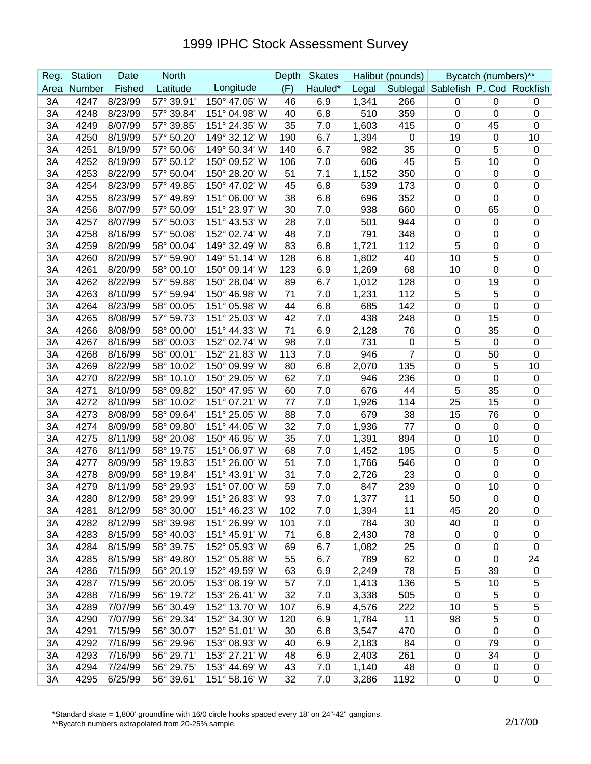| Reg. | <b>Station</b> | Date    | <b>North</b> |               | Depth | <b>Skates</b> |       | Halibut (pounds) |                                    | Bycatch (numbers)** |                  |
|------|----------------|---------|--------------|---------------|-------|---------------|-------|------------------|------------------------------------|---------------------|------------------|
| Area | Number         | Fished  | Latitude     | Longitude     | (F)   | Hauled*       | Legal |                  | Sublegal Sablefish P. Cod Rockfish |                     |                  |
| 3A   | 4247           | 8/23/99 | 57° 39.91'   | 150° 47.05' W | 46    | 6.9           | 1,341 | 266              | $\mathbf 0$                        | $\mathbf 0$         | 0                |
| 3A   | 4248           | 8/23/99 | 57° 39.84'   | 151° 04.98' W | 40    | 6.8           | 510   | 359              | $\mathbf 0$                        | $\boldsymbol{0}$    | $\boldsymbol{0}$ |
| 3A   | 4249           | 8/07/99 | 57° 39.85'   | 151° 24.35' W | 35    | 7.0           | 1,603 | 415              | $\mathbf 0$                        | 45                  | $\boldsymbol{0}$ |
| 3A   | 4250           | 8/19/99 | 57° 50.20'   | 149° 32.12' W | 190   | 6.7           | 1,394 | $\pmb{0}$        | 19                                 | $\boldsymbol{0}$    | 10               |
| 3A   | 4251           | 8/19/99 | 57° 50.06'   | 149° 50.34' W | 140   | 6.7           | 982   | 35               | 0                                  | 5                   | $\mathbf 0$      |
| 3A   | 4252           | 8/19/99 | 57° 50.12'   | 150° 09.52' W | 106   | 7.0           | 606   | 45               | 5                                  | 10                  | $\mathbf 0$      |
| 3A   | 4253           | 8/22/99 | 57° 50.04'   | 150° 28.20' W | 51    | 7.1           | 1,152 | 350              | 0                                  | 0                   | $\mathbf 0$      |
| 3A   | 4254           | 8/23/99 | 57° 49.85'   | 150° 47.02' W | 45    | 6.8           | 539   | 173              | 0                                  | 0                   | $\mathbf 0$      |
| 3A   | 4255           | 8/23/99 | 57° 49.89'   | 151° 06.00' W | 38    | 6.8           | 696   | 352              | 0                                  | 0                   | $\mathbf 0$      |
| 3A   | 4256           | 8/07/99 | 57° 50.09'   | 151° 23.97' W | 30    | 7.0           | 938   | 660              | $\mathbf 0$                        | 65                  | $\boldsymbol{0}$ |
| 3A   | 4257           | 8/07/99 | 57° 50.03'   | 151° 43.53' W | 28    | 7.0           | 501   | 944              | $\mathbf 0$                        | 0                   | $\boldsymbol{0}$ |
| 3A   | 4258           | 8/16/99 | 57° 50.08'   | 152° 02.74' W | 48    | 7.0           | 791   | 348              | $\mathbf 0$                        | 0                   | $\boldsymbol{0}$ |
| 3A   | 4259           | 8/20/99 | 58° 00.04'   | 149° 32.49' W | 83    | 6.8           | 1,721 | 112              | 5                                  | 0                   | $\boldsymbol{0}$ |
| 3A   | 4260           | 8/20/99 | 57° 59.90'   | 149° 51.14' W | 128   | 6.8           | 1,802 | 40               | 10                                 | 5                   | $\boldsymbol{0}$ |
| 3A   | 4261           | 8/20/99 | 58° 00.10'   | 150° 09.14' W | 123   | 6.9           | 1,269 | 68               | 10                                 | 0                   | $\mathbf 0$      |
| 3A   | 4262           | 8/22/99 | 57° 59.88'   | 150° 28.04' W | 89    | 6.7           | 1,012 | 128              | $\boldsymbol{0}$                   | 19                  | $\mathbf 0$      |
| 3A   | 4263           | 8/10/99 | 57° 59.94'   | 150° 46.98' W | 71    | 7.0           | 1,231 | 112              | 5                                  | 5                   | $\boldsymbol{0}$ |
| 3A   | 4264           | 8/23/99 | 58° 00.05'   | 151° 05.98' W | 44    | 6.8           | 685   | 142              | 0                                  | 0                   | $\mathbf 0$      |
| 3A   | 4265           | 8/08/99 | 57° 59.73'   | 151° 25.03' W | 42    | 7.0           | 438   | 248              | 0                                  | 15                  | $\mathbf 0$      |
| 3A   | 4266           | 8/08/99 | 58° 00.00'   | 151° 44.33' W | 71    | 6.9           | 2,128 | 76               | 0                                  | 35                  | $\mathbf 0$      |
| 3A   | 4267           | 8/16/99 | 58° 00.03'   | 152° 02.74' W | 98    | 7.0           | 731   | $\pmb{0}$        | 5                                  | 0                   | $\mathbf 0$      |
| 3A   | 4268           | 8/16/99 | 58° 00.01'   | 152° 21.83' W | 113   | 7.0           | 946   | $\overline{7}$   | $\mathbf 0$                        | 50                  | $\boldsymbol{0}$ |
| 3A   | 4269           | 8/22/99 | 58° 10.02'   | 150° 09.99' W | 80    | 6.8           | 2,070 | 135              | $\mathbf 0$                        | 5                   | 10               |
| 3A   | 4270           | 8/22/99 | 58° 10.10'   | 150° 29.05' W | 62    | 7.0           | 946   | 236              | 0                                  | 0                   | $\boldsymbol{0}$ |
| 3A   | 4271           | 8/10/99 | 58° 09.82'   | 150° 47.95' W | 60    | 7.0           | 676   | 44               | 5                                  | 35                  | $\boldsymbol{0}$ |
| 3A   | 4272           | 8/10/99 | 58° 10.02'   | 151° 07.21' W | 77    | 7.0           | 1,926 | 114              | 25                                 | 15                  | $\boldsymbol{0}$ |
| 3A   | 4273           | 8/08/99 | 58° 09.64'   | 151° 25.05' W | 88    | 7.0           | 679   | 38               | 15                                 | 76                  | $\boldsymbol{0}$ |
| 3A   | 4274           | 8/09/99 | 58° 09.80'   | 151° 44.05' W | 32    | 7.0           | 1,936 | 77               | $\mathbf 0$                        | $\mathbf 0$         | $\boldsymbol{0}$ |
| 3A   | 4275           | 8/11/99 | 58° 20.08'   | 150° 46.95' W | 35    | 7.0           | 1,391 | 894              | 0                                  | 10                  | $\boldsymbol{0}$ |
| 3A   | 4276           | 8/11/99 | 58° 19.75'   | 151° 06.97' W | 68    | 7.0           | 1,452 | 195              | 0                                  | 5                   | $\boldsymbol{0}$ |
| 3A   | 4277           | 8/09/99 | 58° 19.83'   | 151° 26.00' W | 51    | 7.0           | 1,766 | 546              | 0                                  | $\mathbf 0$         | $\mathbf 0$      |
| 3A   | 4278           | 8/09/99 | 58° 19.84'   | 151° 43.91' W | 31    | 7.0           | 2,726 | 23               | 0                                  | 0                   | $\mathbf 0$      |
| 3A   | 4279           | 8/11/99 | 58° 29.93'   | 151° 07.00' W | 59    | 7.0           | 847   | 239              | 0                                  | 10                  | $\boldsymbol{0}$ |
| 3A   | 4280           | 8/12/99 | 58° 29.99'   | 151° 26.83' W | 93    | 7.0           | 1,377 | 11               | 50                                 | $\Omega$            | $\Omega$         |
| 3A   | 4281           | 8/12/99 | 58° 30.00'   | 151° 46.23' W | 102   | 7.0           | 1,394 | 11               | 45                                 | 20                  | $\pmb{0}$        |
| 3A   | 4282           | 8/12/99 | 58° 39.98'   | 151° 26.99' W | 101   | 7.0           | 784   | 30               | 40                                 | $\mathbf 0$         | $\mathbf 0$      |
| 3A   | 4283           | 8/15/99 | 58° 40.03'   | 151° 45.91' W | 71    | 6.8           | 2,430 | 78               | $\mathbf 0$                        | $\mathbf 0$         | $\mathbf 0$      |
| 3A   | 4284           | 8/15/99 | 58° 39.75'   | 152° 05.93' W | 69    | 6.7           | 1,082 | 25               | 0                                  | $\mathbf 0$         | $\boldsymbol{0}$ |
| 3A   | 4285           | 8/15/99 | 58° 49.80'   | 152° 05.88' W | 55    | 6.7           | 789   | 62               | $\mathbf 0$                        | $\mathbf 0$         | 24               |
| 3A   | 4286           | 7/15/99 | 56° 20.19'   | 152° 49.59' W | 63    | 6.9           | 2,249 | 78               | 5                                  | 39                  | $\boldsymbol{0}$ |
| 3A   | 4287           | 7/15/99 | 56° 20.05'   | 153° 08.19' W | 57    | 7.0           | 1,413 | 136              | 5                                  | 10                  | 5                |
| 3A   | 4288           | 7/16/99 | 56° 19.72'   | 153° 26.41' W | 32    | 7.0           | 3,338 | 505              | $\pmb{0}$                          | 5                   | $\pmb{0}$        |
| 3A   | 4289           | 7/07/99 | 56° 30.49'   | 152° 13.70' W | 107   | 6.9           | 4,576 | 222              | 10                                 | $\mathbf 5$         | 5                |
| 3A   | 4290           | 7/07/99 | 56° 29.34'   | 152° 34.30' W | 120   | 6.9           | 1,784 | 11               | 98                                 | 5                   | $\pmb{0}$        |
| 3A   | 4291           | 7/15/99 | 56° 30.07'   | 152° 51.01' W | 30    | 6.8           | 3,547 | 470              | 0                                  | $\mathbf 0$         | 0                |
| 3A   | 4292           | 7/16/99 | 56° 29.96'   | 153° 08.93' W | 40    | 6.9           | 2,183 | 84               | $\mathbf 0$                        | 79                  | 0                |
| 3A   | 4293           | 7/16/99 | 56° 29.71'   | 153° 27.21' W | 48    | 6.9           | 2,403 | 261              | $\mathbf 0$                        | 34                  | $\pmb{0}$        |
| 3A   | 4294           | 7/24/99 | 56° 29.75'   | 153° 44.69' W | 43    | 7.0           | 1,140 | 48               | 0                                  | $\boldsymbol{0}$    | $\pmb{0}$        |
| 3A   | 4295           | 6/25/99 | 56° 39.61'   | 151° 58.16' W | 32    | 7.0           | 3,286 | 1192             | $\mathbf 0$                        | $\pmb{0}$           | $\pmb{0}$        |

\*Standard skate = 1,800' groundline with 16/0 circle hooks spaced every 18' on 24"-42" gangions.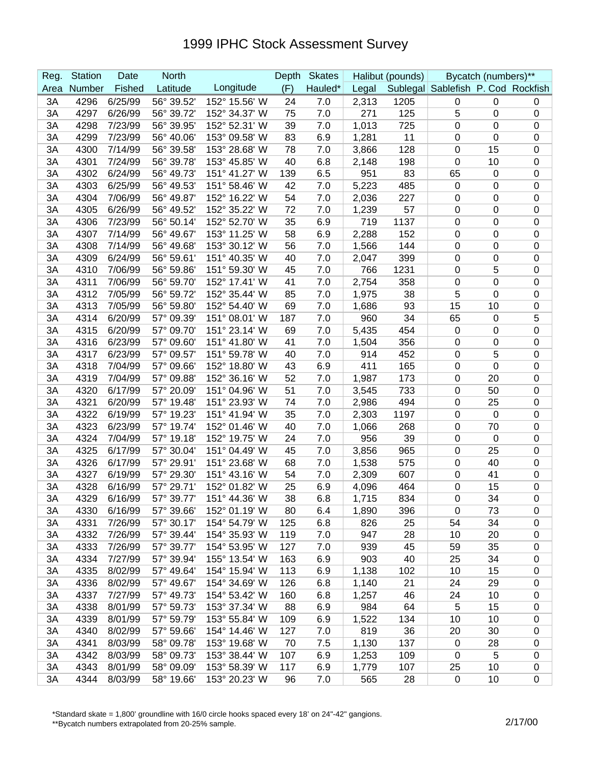| Reg.     | <b>Station</b> | Date               | <b>North</b>             |                                | Depth    | <b>Skates</b> |              | Halibut (pounds) |                                    | Bycatch (numbers)** |                          |
|----------|----------------|--------------------|--------------------------|--------------------------------|----------|---------------|--------------|------------------|------------------------------------|---------------------|--------------------------|
| Area     | Number         | Fished             | Latitude                 | Longitude                      | (F)      | Hauled*       | Legal        |                  | Sublegal Sablefish P. Cod Rockfish |                     |                          |
| 3A       | 4296           | 6/25/99            | 56° 39.52'               | 152° 15.56' W                  | 24       | 7.0           | 2,313        | 1205             | $\mathbf 0$                        | $\mathbf 0$         | 0                        |
| 3A       | 4297           | 6/26/99            | 56° 39.72'               | 152° 34.37' W                  | 75       | 7.0           | 271          | 125              | 5                                  | $\mathbf 0$         | $\mathbf 0$              |
| 3A       | 4298           | 7/23/99            | 56° 39.95'               | 152° 52.31' W                  | 39       | 7.0           | 1,013        | 725              | 0                                  | 0                   | $\mathbf 0$              |
| 3A       | 4299           | 7/23/99            | 56° 40.06'               | 153° 09.58' W                  | 83       | 6.9           | 1,281        | 11               | 0                                  | $\mathbf 0$         | $\boldsymbol{0}$         |
| 3A       | 4300           | 7/14/99            | 56° 39.58'               | 153° 28.68' W                  | 78       | 7.0           | 3,866        | 128              | 0                                  | 15                  | $\mathbf 0$              |
| 3A       | 4301           | 7/24/99            | 56° 39.78'               | 153° 45.85' W                  | 40       | 6.8           | 2,148        | 198              | 0                                  | 10                  | $\mathbf 0$              |
| 3A       | 4302           | 6/24/99            | 56° 49.73'               | 151° 41.27' W                  | 139      | 6.5           | 951          | 83               | 65                                 | $\mathbf 0$         | $\mathbf 0$              |
| 3A       | 4303           | 6/25/99            | 56° 49.53'               | 151° 58.46' W                  | 42       | 7.0           | 5,223        | 485              | 0                                  | 0                   | $\mathbf 0$              |
| 3A       | 4304           | 7/06/99            | 56° 49.87'               | 152° 16.22' W                  | 54       | 7.0           | 2,036        | 227              | 0                                  | 0                   | $\mathbf 0$              |
| 3A       | 4305           | 6/26/99            | 56° 49.52'               | 152° 35.22' W                  | 72       | 7.0           | 1,239        | 57               | $\mathbf 0$                        | 0                   | $\boldsymbol{0}$         |
| 3A       | 4306           | 7/23/99            | 56° 50.14'               | 152° 52.70' W                  | 35       | 6.9           | 719          | 1137             | $\mathbf 0$                        | 0                   | $\boldsymbol{0}$         |
| 3A       | 4307           | 7/14/99            | 56° 49.67                | 153° 11.25' W                  | 58       | 6.9           | 2,288        | 152              | 0                                  | 0                   | $\boldsymbol{0}$         |
| 3A       | 4308           | 7/14/99            | 56° 49.68'               | 153° 30.12' W                  | 56       | 7.0           | 1,566        | 144              | $\mathbf 0$                        | 0                   | $\boldsymbol{0}$         |
| 3A       | 4309           | 6/24/99            | 56° 59.61'               | 151° 40.35' W                  | 40       | 7.0           | 2,047        | 399              | 0                                  | 0                   | $\mathbf 0$              |
| 3A       | 4310           | 7/06/99            | 56° 59.86'               | 151° 59.30' W                  | 45       | 7.0           | 766          | 1231             | $\mathbf 0$                        | 5                   | $\mathbf 0$              |
| 3A       | 4311           | 7/06/99            | 56° 59.70'               | 152° 17.41' W                  | 41       | 7.0           | 2,754        | 358              | 0                                  | 0                   | $\mathbf 0$              |
| 3A       | 4312           | 7/05/99            | 56° 59.72'               | 152° 35.44' W                  | 85       | 7.0           | 1,975        | 38               | 5                                  | 0                   | $\mathbf 0$              |
| 3A       | 4313           | 7/05/99            | 56° 59.80'               | 152° 54.40' W                  | 69       | 7.0           | 1,686        | 93               | 15                                 | 10                  | $\pmb{0}$                |
| 3A       | 4314           | 6/20/99            | 57° 09.39'               | 151° 08.01' W                  | 187      | 7.0           | 960          | 34               | 65                                 | 0                   | 5                        |
| 3A       | 4315           | 6/20/99            | 57° 09.70'               | 151° 23.14' W                  | 69       | 7.0           | 5,435        | 454              | 0                                  | 0                   | $\boldsymbol{0}$         |
| 3A       | 4316           | 6/23/99            | 57° 09.60'               | 151° 41.80' W                  | 41       | 7.0           | 1,504        | 356              | 0                                  | 0                   | $\mathbf 0$              |
| 3A       | 4317           | 6/23/99            | 57° 09.57'               | 151° 59.78' W                  | 40       | 7.0           | 914          | 452              | 0                                  | 5                   | $\mathbf 0$              |
| 3A       | 4318           | 7/04/99            | 57° 09.66'               | 152° 18.80' W                  | 43       | 6.9           | 411          | 165              | 0                                  | 0                   | $\boldsymbol{0}$         |
| 3A       | 4319           | 7/04/99            | 57° 09.88'               | 152° 36.16' W                  | 52       | 7.0           | 1,987        | 173              | $\mathbf 0$                        | 20                  | $\boldsymbol{0}$         |
| 3A       | 4320           | 6/17/99            | 57° 20.09'               | 151° 04.96' W                  | 51       | 7.0           | 3,545        | 733              | 0                                  | 50                  | $\boldsymbol{0}$         |
| 3A       | 4321           | 6/20/99            | 57° 19.48'               | 151° 23.93' W                  | 74       | 7.0           | 2,986        | 494              | 0                                  | 25                  | $\boldsymbol{0}$         |
| 3A       | 4322           | 6/19/99            | 57° 19.23'               | 151° 41.94' W                  | 35       | 7.0           | 2,303        | 1197             | 0                                  | $\mathbf 0$         | $\mathbf 0$              |
| 3A       | 4323           | 6/23/99            | 57° 19.74'               | 152° 01.46' W                  | 40       | 7.0           | 1,066        | 268              | 0                                  | 70                  | $\boldsymbol{0}$         |
| 3A       | 4324           | 7/04/99            | 57° 19.18'               | 152° 19.75' W                  | 24       | 7.0           | 956          | 39               | 0                                  | $\mathbf 0$         | $\mathbf 0$              |
| 3A       | 4325           | 6/17/99            | 57° 30.04'               | 151° 04.49' W                  | 45       | 7.0           | 3,856        | 965              | 0                                  | 25                  | $\mathbf 0$              |
| 3A       | 4326           | 6/17/99            | 57° 29.91'               | 151° 23.68' W                  | 68       | 7.0           | 1,538        | 575              | 0                                  | 40                  | $\mathbf 0$              |
| 3A       | 4327           | 6/19/99<br>6/16/99 | 57° 29.30'<br>57° 29.71' | 151° 43.16' W<br>152° 01.82' W | 54<br>25 | 7.0           | 2,309        | 607<br>464       | 0                                  | 41                  | $\mathbf 0$              |
| 3A<br>3A | 4328<br>4329   |                    | 57° 39.77'               | 151° 44.36' W                  | 38       | 6.9<br>6.8    | 4,096        |                  | 0<br>$\pmb{0}$                     | 15<br>34            | $\mathbf 0$<br>$\pmb{0}$ |
|          | 4330           | 6/16/99<br>6/16/99 | 57° 39.66'               | 152° 01.19' W                  | 80       |               | 1,715        | 834<br>396       | 0                                  | 73                  | $\mathbf 0$              |
| ЗA<br>3A | 4331           | 7/26/99            | 57° 30.17'               | 154° 54.79' W                  | 125      | 6.4<br>6.8    | 1,890<br>826 | 25               | 54                                 | 34                  | $\pmb{0}$                |
| 3A       | 4332           | 7/26/99            | 57° 39.44'               | 154° 35.93' W                  | 119      | 7.0           | 947          | 28               | 10                                 | 20                  | $\pmb{0}$                |
| 3A       | 4333           | 7/26/99            | 57° 39.77'               | 154° 53.95' W                  | 127      | 7.0           | 939          | 45               | 59                                 | 35                  | $\pmb{0}$                |
| 3A       | 4334           | 7/27/99            | 57° 39.94'               | 155° 13.54' W                  | 163      | 6.9           | 903          | 40               | 25                                 | 34                  | $\pmb{0}$                |
| 3A       | 4335           | 8/02/99            | 57° 49.64'               | 154° 15.94' W                  | 113      | 6.9           | 1,138        | 102              | 10                                 | 15                  | $\pmb{0}$                |
| 3A       | 4336           | 8/02/99            | 57° 49.67'               | 154° 34.69' W                  | 126      | 6.8           | 1,140        | 21               | 24                                 | 29                  | $\pmb{0}$                |
| 3A       | 4337           | 7/27/99            | 57° 49.73'               | 154° 53.42' W                  | 160      | 6.8           | 1,257        | 46               | 24                                 | 10                  | $\pmb{0}$                |
| 3A       | 4338           | 8/01/99            | 57° 59.73'               | 153° 37.34' W                  | 88       | 6.9           | 984          | 64               | 5                                  | 15                  | $\pmb{0}$                |
| 3A       | 4339           | 8/01/99            | 57° 59.79'               | 153° 55.84' W                  | 109      | 6.9           | 1,522        | 134              | 10                                 | 10                  | $\pmb{0}$                |
| 3A       | 4340           | 8/02/99            | 57° 59.66'               | 154° 14.46' W                  | 127      | 7.0           | 819          | 36               | 20                                 | 30                  | $\pmb{0}$                |
| 3A       | 4341           | 8/03/99            | 58° 09.78'               | 153° 19.68' W                  | 70       | 7.5           | 1,130        | 137              | $\mathbf 0$                        | 28                  | $\pmb{0}$                |
| 3A       | 4342           | 8/03/99            | 58° 09.73'               | 153° 38.44' W                  | 107      | 6.9           | 1,253        | 109              | $\mathbf 0$                        | 5                   | $\pmb{0}$                |
| 3A       | 4343           | 8/01/99            | 58° 09.09'               | 153° 58.39' W                  | 117      | 6.9           | 1,779        | 107              | 25                                 | 10                  | $\pmb{0}$                |
| 3A       | 4344           | 8/03/99            | 58° 19.66'               | 153° 20.23' W                  | 96       | 7.0           | 565          | 28               | 0                                  | 10                  | $\pmb{0}$                |

\*Standard skate = 1,800' groundline with 16/0 circle hooks spaced every 18' on 24"-42" gangions.